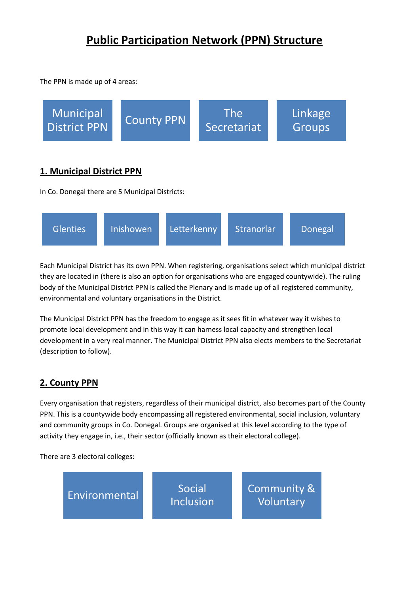# **Public Participation Network (PPN) Structure**

The PPN is made up of 4 areas:



Each Municipal District has its own PPN. When registering, organisations select which municipal district they are located in (there is also an option for organisations who are engaged countywide). The ruling body of the Municipal District PPN is called the Plenary and is made up of all registered community, environmental and voluntary organisations in the District.

The Municipal District PPN has the freedom to engage as it sees fit in whatever way it wishes to promote local development and in this way it can harness local capacity and strengthen local development in a very real manner. The Municipal District PPN also elects members to the Secretariat (description to follow).

## **2. County PPN**

Every organisation that registers, regardless of their municipal district, also becomes part of the County PPN. This is a countywide body encompassing all registered environmental, social inclusion, voluntary and community groups in Co. Donegal. Groups are organised at this level according to the type of activity they engage in, i.e., their sector (officially known as their electoral college).

There are 3 electoral colleges:

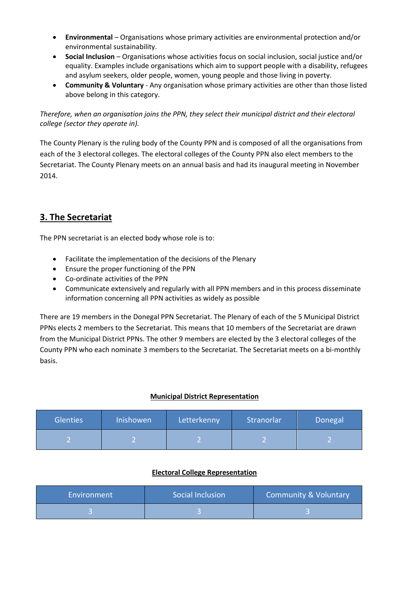- **Environmental**  Organisations whose primary activities are environmental protection and/or environmental sustainability.
- **Social Inclusion** Organisations whose activities focus on social inclusion, social justice and/or equality. Examples include organisations which aim to support people with a disability, refugees and asylum seekers, older people, women, young people and those living in poverty.
- **Community & Voluntary** Any organisation whose primary activities are other than those listed above belong in this category.

*Therefore, when an organisation joins the PPN, they select their municipal district and their electoral college (sector they operate in).* 

The County Plenary is the ruling body of the County PPN and is composed of all the organisations from each of the 3 electoral colleges. The electoral colleges of the County PPN also elect members to the Secretariat. The County Plenary meets on an annual basis and had its inaugural meeting in November 2014.

### **3. The Secretariat**

The PPN secretariat is an elected body whose role is to:

- Facilitate the implementation of the decisions of the Plenary
- Ensure the proper functioning of the PPN
- Co-ordinate activities of the PPN
- Communicate extensively and regularly with all PPN members and in this process disseminate information concerning all PPN activities as widely as possible

There are 19 members in the Donegal PPN Secretariat. The Plenary of each of the 5 Municipal District PPNs elects 2 members to the Secretariat. This means that 10 members of the Secretariat are drawn from the Municipal District PPNs. The other 9 members are elected by the 3 electoral colleges of the County PPN who each nominate 3 members to the Secretariat. The Secretariat meets on a bi-monthly basis.

#### **Municipal District Representation**

| <b>Glenties</b> | Inishowen | Letterkenny | Stranorlar | Donegal |
|-----------------|-----------|-------------|------------|---------|
|                 |           |             |            |         |

#### **Electoral College Representation**

| Environment | Social Inclusion | <b>Community &amp; Voluntary</b> |
|-------------|------------------|----------------------------------|
|             |                  |                                  |